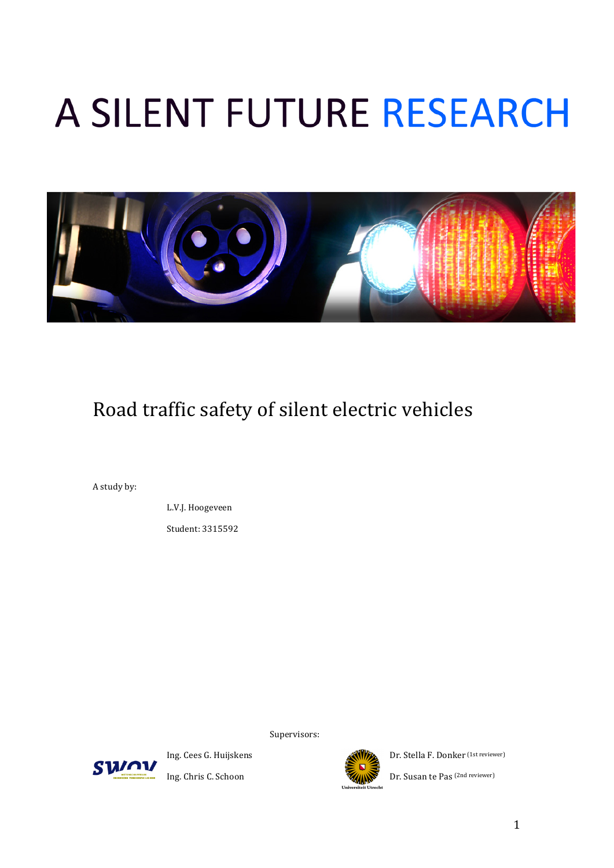# A SILENT FUTURE RESEARCH



## Road traffic safety of silent electric vehicles

A study by:

L.V.J. Hoogeveen

Student: 3315592

Supervisors:





Ing. Cees G. Huijskens **Dr. Stella F. Donker** (1st reviewer)

Ing. Chris C. Schoon Dr. Susan te Pas (2nd reviewer)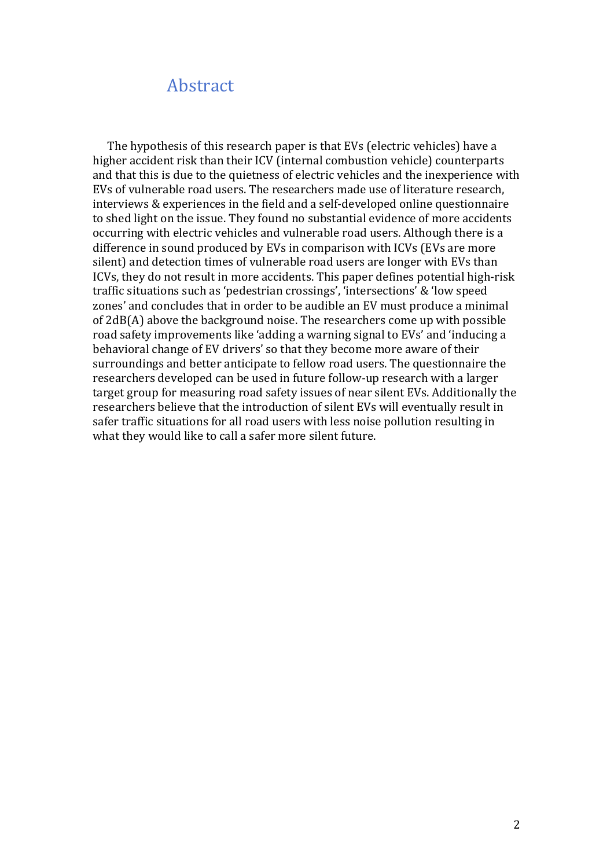## Abstract

The hypothesis of this research paper is that EVs (electric vehicles) have a higher accident risk than their ICV (internal combustion vehicle) counterparts and that this is due to the quietness of electric vehicles and the inexperience with EVs of vulnerable road users. The researchers made use of literature research, interviews  $&$  experiences in the field and a self-developed online questionnaire to shed light on the issue. They found no substantial evidence of more accidents occurring with electric vehicles and vulnerable road users. Although there is a difference in sound produced by EVs in comparison with ICVs (EVs are more silent) and detection times of vulnerable road users are longer with EVs than ICVs, they do not result in more accidents. This paper defines potential high-risk traffic situations such as 'pedestrian crossings', 'intersections' & 'low speed zones' and concludes that in order to be audible an EV must produce a minimal of  $2dB(A)$  above the background noise. The researchers come up with possible road safety improvements like 'adding a warning signal to EVs' and 'inducing a behavioral change of EV drivers' so that they become more aware of their surroundings and better anticipate to fellow road users. The questionnaire the researchers developed can be used in future follow-up research with a larger target group for measuring road safety issues of near silent EVs. Additionally the researchers believe that the introduction of silent EVs will eventually result in safer traffic situations for all road users with less noise pollution resulting in what they would like to call a safer more silent future.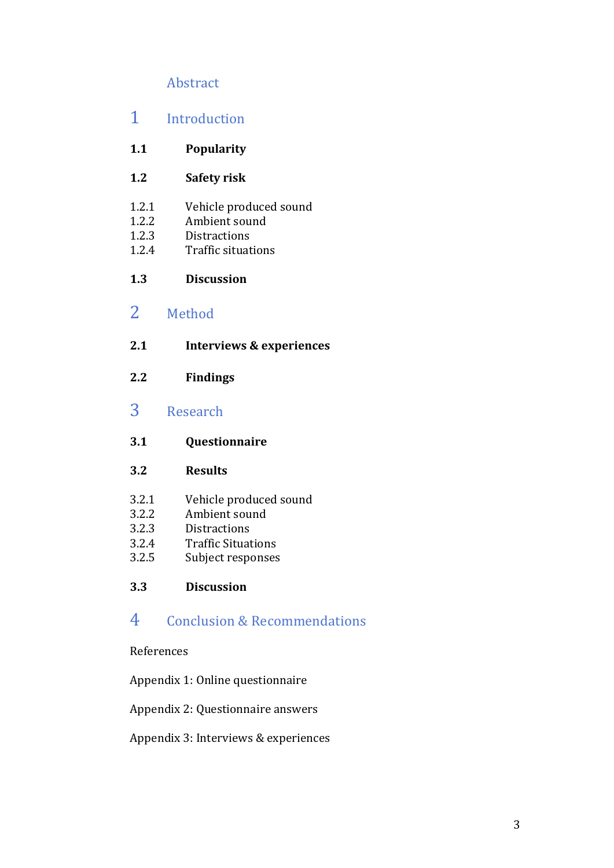## Abstract

## 1 Introduction

#### **1.1 Popularity**

- **1.2 Safety-risk**
- 1.2.1 Vehicle produced sound
- 1.2.2 Ambient sound
- 1.2.3 Distractions
- 1.2.4 Traffic situations

#### **1.3 Discussion**

## 2 Method

- **2.1 Interviews-&-experiences**
- **2.2 Findings**

## 3 Research

#### **3.1 Questionnaire**

#### **3.2 Results**

- 3.2.1 Vehicle produced sound<br>3.2.2 Ambient sound
- Ambient sound
- 3.2.3 Distractions
- 3.2.4 Traffic Situations
- 3.2.5 Subject responses

#### **3.3 Discussion**

## 4 Conclusion & Recommendations

#### References

#### Appendix 1: Online questionnaire

#### Appendix 2: Questionnaire answers

#### Appendix 3: Interviews & experiences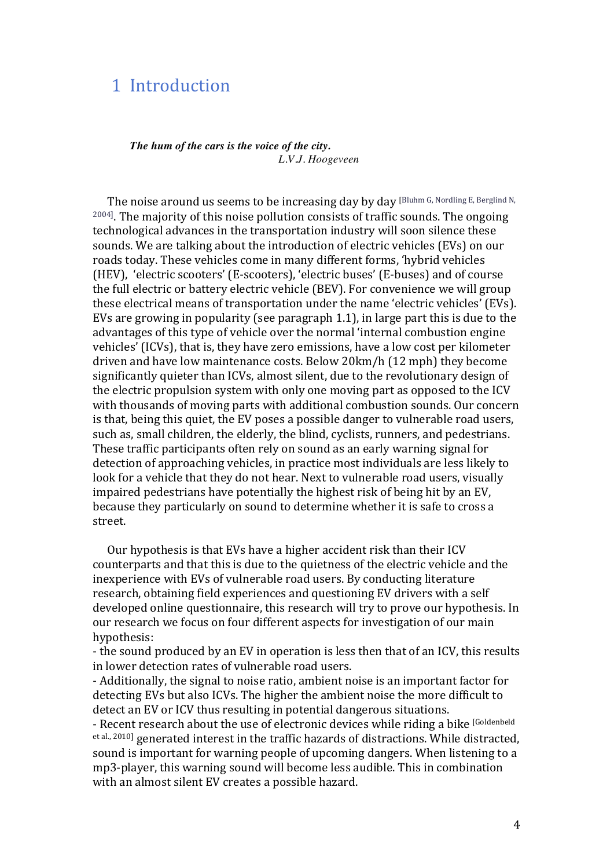## 1 Introduction

#### *The hum of the cars is the voice of the city. L.V.J. Hoogeveen*

The noise around us seems to be increasing day by day [Bluhm G, Nordling E, Berglind N, <sup>2004]</sup>. The majority of this noise pollution consists of traffic sounds. The ongoing technological advances in the transportation industry will soon silence these sounds. We are talking about the introduction of electric vehicles (EVs) on our roads today. These vehicles come in many different forms, 'hybrid vehicles (HEV), 'electric scooters' (E-scooters), 'electric buses' (E-buses) and of course the full electric or battery electric vehicle (BEV). For convenience we will group these electrical means of transportation under the name 'electric vehicles' (EVs). EVs are growing in popularity (see paragraph 1.1), in large part this is due to the advantages of this type of vehicle over the normal 'internal combustion engine vehicles' (ICVs), that is, they have zero emissions, have a low cost per kilometer driven and have low maintenance costs. Below 20km/h (12 mph) they become significantly quieter than ICVs, almost silent, due to the revolutionary design of the electric propulsion system with only one moving part as opposed to the ICV with thousands of moving parts with additional combustion sounds. Our concern is that, being this quiet, the EV poses a possible danger to vulnerable road users, such as, small children, the elderly, the blind, cyclists, runners, and pedestrians. These traffic participants often rely on sound as an early warning signal for detection of approaching vehicles, in practice most individuals are less likely to look for a vehicle that they do not hear. Next to vulnerable road users, visually impaired pedestrians have potentially the highest risk of being hit by an EV, because they particularly on sound to determine whether it is safe to cross a street.

Our hypothesis is that EVs have a higher accident risk than their ICV counterparts and that this is due to the quietness of the electric vehicle and the inexperience with EVs of vulnerable road users. By conducting literature research, obtaining field experiences and questioning EV drivers with a self developed online questionnaire, this research will try to prove our hypothesis. In our research we focus on four different aspects for investigation of our main hypothesis:

- the sound produced by an EV in operation is less then that of an ICV, this results in lower detection rates of vulnerable road users.

- Additionally, the signal to noise ratio, ambient noise is an important factor for detecting EVs but also ICVs. The higher the ambient noise the more difficult to detect an EV or ICV thus resulting in potential dangerous situations.

- Recent research about the use of electronic devices while riding a bike [Goldenbeld]  $e$ t al., 2010] generated interest in the traffic hazards of distractions. While distracted, sound is important for warning people of upcoming dangers. When listening to a mp3-player, this warning sound will become less audible. This in combination with an almost silent EV creates a possible hazard.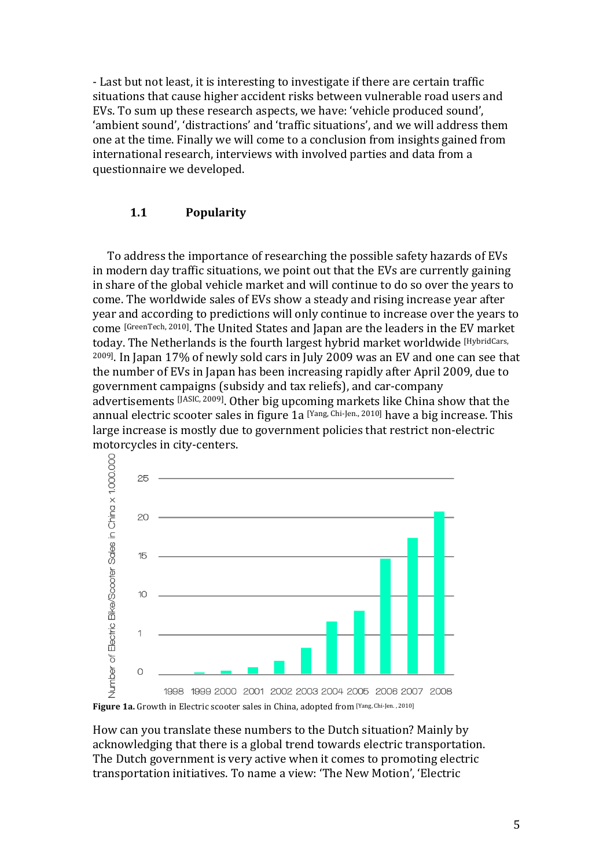- Last but not least, it is interesting to investigate if there are certain traffic situations that cause higher accident risks between vulnerable road users and EVs. To sum up these research aspects, we have: 'vehicle produced sound', 'ambient sound', 'distractions' and 'traffic situations', and we will address them one at the time. Finally we will come to a conclusion from insights gained from international research, interviews with involved parties and data from a questionnaire we developed.

#### **1.1 Popularity**

To address the importance of researching the possible safety hazards of EVs in modern day traffic situations, we point out that the EVs are currently gaining in share of the global vehicle market and will continue to do so over the years to come. The worldwide sales of EVs show a steady and rising increase year after year and according to predictions will only continue to increase over the vears to come [GreenTech, 2010]. The United States and Japan are the leaders in the EV market today. The Netherlands is the fourth largest hybrid market worldwide [HybridCars,  $2009$ ]. In Japan 17% of newly sold cars in July 2009 was an EV and one can see that the number of EVs in Japan has been increasing rapidly after April 2009, due to government campaigns (subsidy and tax reliefs), and car-company advertisements  $[<sup>JASIC, 2009]</sup>$ . Other big upcoming markets like China show that the annual electric scooter sales in figure 1a  $[Yang, Chi-Jen., 2010]$  have a big increase. This large increase is mostly due to government policies that restrict non-electric motorcycles in city-centers.



How can you translate these numbers to the Dutch situation? Mainly by acknowledging that there is a global trend towards electric transportation. The Dutch government is very active when it comes to promoting electric transportation initiatives. To name a view: 'The New Motion', 'Electric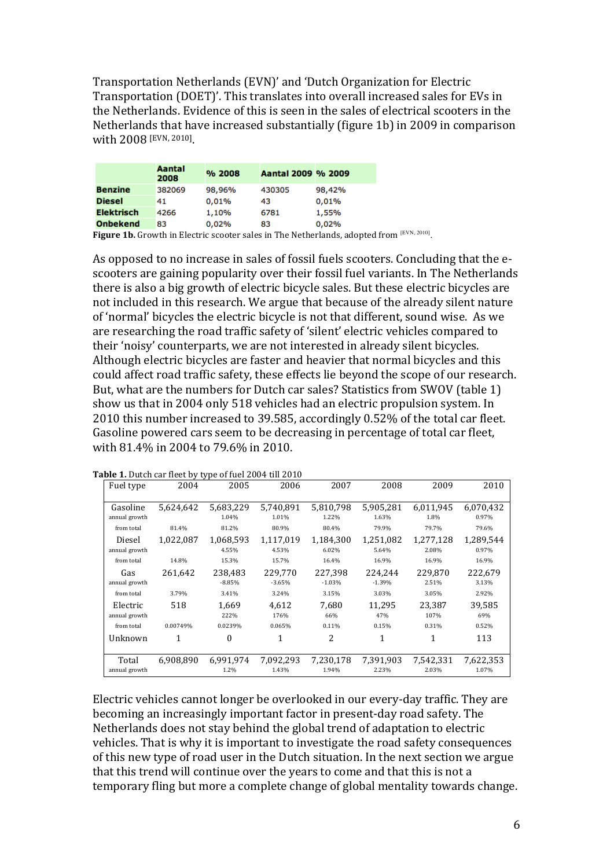Transportation Netherlands (EVN)' and 'Dutch Organization for Electric Transportation (DOET)'. This translates into overall increased sales for EVs in the Netherlands. Evidence of this is seen in the sales of electrical scooters in the Netherlands that have increased substantially (figure 1b) in 2009 in comparison with 2008 [EVN, 2010].

|                   | Aantal<br>2008 | % 2008 | Aantal 2009 % 2009 |                                                                                                                                                                                                                                                                     |
|-------------------|----------------|--------|--------------------|---------------------------------------------------------------------------------------------------------------------------------------------------------------------------------------------------------------------------------------------------------------------|
| <b>Benzine</b>    | 382069         | 98,96% | 430305             | 98,42%                                                                                                                                                                                                                                                              |
| <b>Diesel</b>     | 41             | 0,01%  | 43                 | 0,01%                                                                                                                                                                                                                                                               |
| <b>Elektrisch</b> | 4266           | 1,10%  | 6781               | 1,55%                                                                                                                                                                                                                                                               |
| <b>Onbekend</b>   | 83             | 0,02%  | 83                 | 0,02%                                                                                                                                                                                                                                                               |
|                   |                |        |                    | $\mathbf{P}^1$ and a $\mathbf{A}^1$ is $\mathbf{A}^1$ . $\mathbf{A}^1$ is the set of the set of $\mathbf{A}^1$ is the set of $\mathbf{A}^1$ is a set of $\mathbf{A}^1$ is a set of $\mathbf{A}^1$ is a set of $\mathbf{A}^1$ is a set of $\mathbf{A}^1$ is a set of |

Figure 1b. Growth in Electric scooter sales in The Netherlands, adopted from [EVN, 2010].

As opposed to no increase in sales of fossil fuels scooters. Concluding that the escooters are gaining popularity over their fossil fuel variants. In The Netherlands there is also a big growth of electric bicycle sales. But these electric bicycles are not included in this research. We argue that because of the already silent nature of 'normal' bicycles the electric bicycle is not that different, sound wise. As we are researching the road traffic safety of 'silent' electric vehicles compared to their 'noisy' counterparts, we are not interested in already silent bicycles. Although electric bicycles are faster and heavier that normal bicycles and this could affect road traffic safety, these effects lie beyond the scope of our research. But, what are the numbers for Dutch car sales? Statistics from SWOV (table 1) show us that in 2004 only 518 vehicles had an electric propulsion system. In 2010 this number increased to 39.585, accordingly 0.52% of the total car fleet. Gasoline powered cars seem to be decreasing in percentage of total car fleet, with 81.4% in 2004 to 79.6% in 2010.

| Fuel type                 | 2004      | 2005                | 2006                | 2007                | 2008                | 2009               | 2010               |
|---------------------------|-----------|---------------------|---------------------|---------------------|---------------------|--------------------|--------------------|
| Gasoline<br>annual growth | 5.624,642 | 5,683,229<br>1.04%  | 5.740.891<br>1.01%  | 5.810.798<br>1.22%  | 5.905.281<br>1.63%  | 6.011.945<br>1.8%  | 6,070,432<br>0.97% |
| from total                | 81.4%     | 81.2%               | 80.9%               | 80.4%               | 79.9%               | 79.7%              | 79.6%              |
| Diesel<br>annual growth   | 1,022,087 | 1,068,593<br>4.55%  | 1,117,019<br>4.53%  | 1,184,300<br>6.02%  | 1,251,082<br>5.64%  | 1,277,128<br>2.08% | 1,289,544<br>0.97% |
| from total                | 14.8%     | 15.3%               | 15.7%               | 16.4%               | 16.9%               | 16.9%              | 16.9%              |
| Gas<br>annual growth      | 261.642   | 238.483<br>$-8.85%$ | 229,770<br>$-3.65%$ | 227,398<br>$-1.03%$ | 224.244<br>$-1.39%$ | 229.870<br>2.51%   | 222,679<br>3.13%   |
| from total                | 3.79%     | 3.41%               | 3.24%               | 3.15%               | 3.03%               | 3.05%              | 2.92%              |
| Electric<br>annual growth | 518       | 1.669<br>222%       | 4.612<br>176%       | 7.680<br>66%        | 11.295<br>47%       | 23.387<br>107%     | 39,585<br>69%      |
| from total                | 0.00749%  | 0.0239%             | 0.065%              | 0.11%               | 0.15%               | 0.31%              | 0.52%              |
| Unknown                   | 1         | $\theta$            | 1                   | 2                   | 1                   | 1                  | 113                |
| Total<br>annual growth    | 6,908,890 | 6,991,974<br>1.2%   | 7,092,293<br>1.43%  | 7,230,178<br>1.94%  | 7,391,903<br>2.23%  | 7,542,331<br>2.03% | 7,622,353<br>1.07% |

Table 1. Dutch car fleet by type of fuel 2004 till 2010

Electric vehicles cannot longer be overlooked in our every-day traffic. They are becoming an increasingly important factor in present-day road safety. The Netherlands does not stay behind the global trend of adaptation to electric vehicles. That is why it is important to investigate the road safety consequences of this new type of road user in the Dutch situation. In the next section we argue that this trend will continue over the years to come and that this is not a temporary fling but more a complete change of global mentality towards change.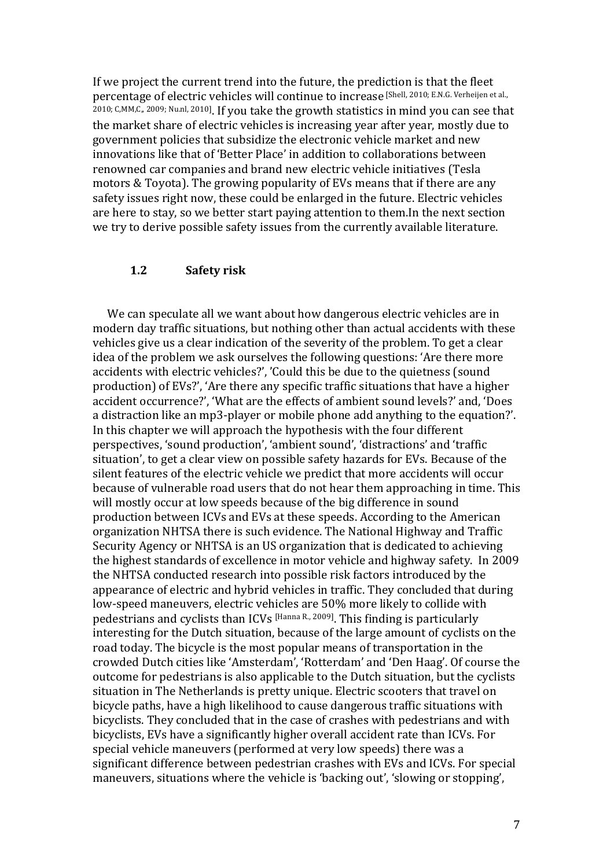If we project the current trend into the future, the prediction is that the fleet percentage of electric vehicles will continue to increase [Shell, 2010; E.N.G. Verheijen et al., 2010; C,MM,C,, 2009; Nu.nl, 2010]. If you take the growth statistics in mind you can see that the market share of electric vehicles is increasing year after year, mostly due to government policies that subsidize the electronic vehicle market and new innovations like that of 'Better Place' in addition to collaborations between renowned car companies and brand new electric vehicle initiatives (Tesla motors & Toyota). The growing popularity of EVs means that if there are any safety issues right now, these could be enlarged in the future. Electric vehicles are here to stay, so we better start paying attention to them.In the next section we try to derive possible safety issues from the currently available literature.

#### **1.2 Safety-risk**

We can speculate all we want about how dangerous electric vehicles are in modern day traffic situations, but nothing other than actual accidents with these vehicles give us a clear indication of the severity of the problem. To get a clear idea of the problem we ask ourselves the following questions: 'Are there more accidents with electric vehicles?', 'Could this be due to the quietness (sound production) of EVs?', 'Are there any specific traffic situations that have a higher accident occurrence?', 'What are the effects of ambient sound levels?' and, 'Does a distraction like an mp3-player or mobile phone add anything to the equation?'. In this chapter we will approach the hypothesis with the four different perspectives, 'sound production', 'ambient sound', 'distractions' and 'traffic situation', to get a clear view on possible safety hazards for EVs. Because of the silent features of the electric vehicle we predict that more accidents will occur because of vulnerable road users that do not hear them approaching in time. This will mostly occur at low speeds because of the big difference in sound production between ICVs and EVs at these speeds. According to the American organization NHTSA there is such evidence. The National Highway and Traffic Security Agency or NHTSA is an US organization that is dedicated to achieving the highest standards of excellence in motor vehicle and highway safety. In 2009 the NHTSA conducted research into possible risk factors introduced by the appearance of electric and hybrid vehicles in traffic. They concluded that during low-speed maneuvers, electric vehicles are 50% more likely to collide with pedestrians and cyclists than ICVs [Hanna R., 2009]. This finding is particularly interesting for the Dutch situation, because of the large amount of cyclists on the road today. The bicycle is the most popular means of transportation in the crowded Dutch cities like 'Amsterdam', 'Rotterdam' and 'Den Haag'. Of course the outcome for pedestrians is also applicable to the Dutch situation, but the cyclists situation in The Netherlands is pretty unique. Electric scooters that travel on bicycle paths, have a high likelihood to cause dangerous traffic situations with bicyclists. They concluded that in the case of crashes with pedestrians and with bicyclists, EVs have a significantly higher overall accident rate than ICVs. For special vehicle maneuvers (performed at very low speeds) there was a significant difference between pedestrian crashes with EVs and ICVs. For special maneuvers, situations where the vehicle is 'backing out', 'slowing or stopping',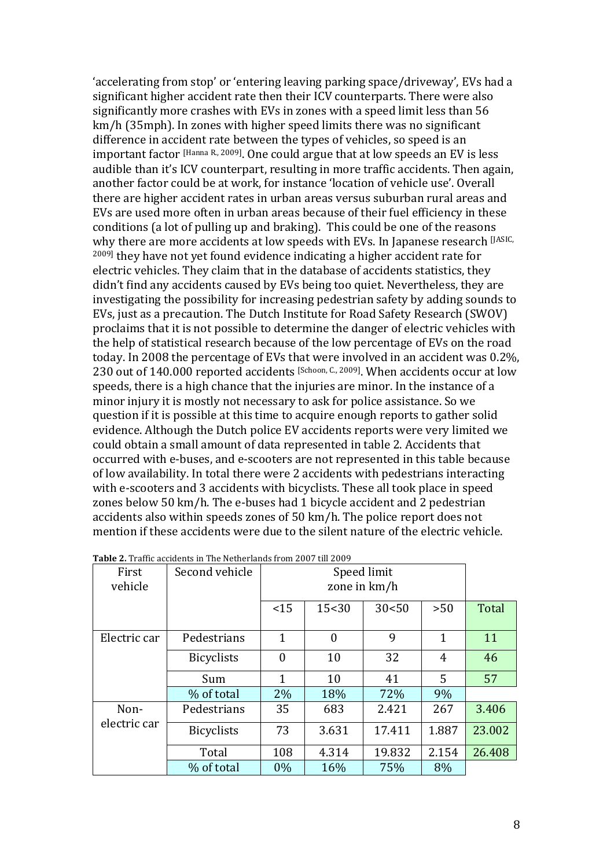'accelerating from stop' or 'entering leaving parking space/driveway', EVs had a significant higher accident rate then their ICV counterparts. There were also significantly more crashes with EVs in zones with a speed limit less than 56  $km/h$  (35mph). In zones with higher speed limits there was no significant difference in accident rate between the types of vehicles, so speed is an important factor  $[Hamna R, 2009]$ . One could argue that at low speeds an EV is less audible than it's ICV counterpart, resulting in more traffic accidents. Then again, another factor could be at work, for instance 'location of vehicle use'. Overall there are higher accident rates in urban areas versus suburban rural areas and EVs are used more often in urban areas because of their fuel efficiency in these conditions (a lot of pulling up and braking). This could be one of the reasons why there are more accidents at low speeds with EVs. In Japanese research [JASIC, <sup>2009]</sup> they have not yet found evidence indicating a higher accident rate for electric vehicles. They claim that in the database of accidents statistics, they didn't find any accidents caused by EVs being too quiet. Nevertheless, they are investigating the possibility for increasing pedestrian safety by adding sounds to EVs, just as a precaution. The Dutch Institute for Road Safety Research (SWOV) proclaims that it is not possible to determine the danger of electric vehicles with the help of statistical research because of the low percentage of EVs on the road today. In 2008 the percentage of EVs that were involved in an accident was 0.2%. 230 out of  $140.000$  reported accidents [Schoon, C., 2009]. When accidents occur at low speeds, there is a high chance that the injuries are minor. In the instance of a minor injury it is mostly not necessary to ask for police assistance. So we question if it is possible at this time to acquire enough reports to gather solid evidence. Although the Dutch police EV accidents reports were very limited we could obtain a small amount of data represented in table 2. Accidents that occurred with e-buses, and e-scooters are not represented in this table because of low availability. In total there were 2 accidents with pedestrians interacting with e-scooters and 3 accidents with bicyclists. These all took place in speed zones below 50 km/h. The e-buses had 1 bicycle accident and 2 pedestrian accidents also within speeds zones of 50 km/h. The police report does not mention if these accidents were due to the silent nature of the electric vehicle.

| First                | <b>Table 2.</b> Trainc accidents in The Netherlands from 2007 the 2009<br>Second vehicle |       |                |              |              |        |
|----------------------|------------------------------------------------------------------------------------------|-------|----------------|--------------|--------------|--------|
|                      |                                                                                          |       |                | Speed limit  |              |        |
| vehicle              |                                                                                          |       |                | zone in km/h |              |        |
|                      |                                                                                          |       |                |              |              |        |
|                      |                                                                                          | <15   | 15<30          | 30<50        | >50          | Total  |
|                      |                                                                                          |       |                |              |              |        |
| Electric car         | Pedestrians                                                                              | 1     | $\overline{0}$ | 9            | $\mathbf{1}$ | 11     |
|                      | <b>Bicyclists</b>                                                                        | 0     | 10             | 32           | 4            | 46     |
|                      | Sum                                                                                      | 1     | 10             | 41           | 5            | 57     |
|                      | % of total                                                                               | 2%    | 18%            | 72%          | 9%           |        |
| Non-<br>electric car | Pedestrians                                                                              | 35    | 683            | 2.421        | 267          | 3.406  |
|                      | <b>Bicyclists</b>                                                                        | 73    | 3.631          | 17.411       | 1.887        | 23.002 |
|                      | Total                                                                                    | 108   | 4.314          | 19.832       | 2.154        | 26.408 |
|                      | % of total                                                                               | $0\%$ | 16%            | 75%          | 8%           |        |

**Table-2.**!Traffic!accidents!in!The!Netherlands!from!2007!till!2009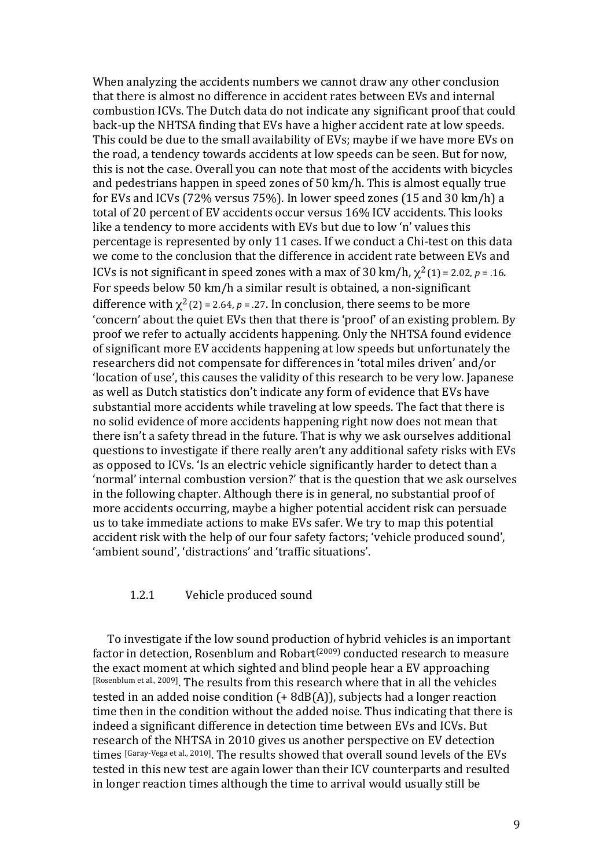When analyzing the accidents numbers we cannot draw any other conclusion that there is almost no difference in accident rates between EVs and internal combustion ICVs. The Dutch data do not indicate any significant proof that could back-up the NHTSA finding that EVs have a higher accident rate at low speeds. This could be due to the small availability of EVs; maybe if we have more EVs on the road, a tendency towards accidents at low speeds can be seen. But for now, this is not the case. Overall you can note that most of the accidents with bicycles and pedestrians happen in speed zones of 50 km/h. This is almost equally true for EVs and ICVs (72% versus 75%). In lower speed zones (15 and 30 km/h) a total of 20 percent of EV accidents occur versus 16% ICV accidents. This looks like a tendency to more accidents with EVs but due to low 'n' values this percentage is represented by only 11 cases. If we conduct a Chi-test on this data we come to the conclusion that the difference in accident rate between EVs and ICVs is not significant in speed zones with a max of 30 km/h,  $\chi^2$  (1) = 2.02, *p* = .16. For speeds below 50 km/h a similar result is obtained, a non-significant difference with  $\chi^2$  (2) = 2.64, *p* = .27. In conclusion, there seems to be more 'concern' about the quiet EVs then that there is 'proof' of an existing problem. By proof we refer to actually accidents happening. Only the NHTSA found evidence of significant more EV accidents happening at low speeds but unfortunately the researchers did not compensate for differences in 'total miles driven' and/or 'location of use', this causes the validity of this research to be very low. Japanese as well as Dutch statistics don't indicate any form of evidence that EVs have substantial more accidents while traveling at low speeds. The fact that there is no solid evidence of more accidents happening right now does not mean that there isn't a safety thread in the future. That is why we ask ourselves additional questions to investigate if there really aren't any additional safety risks with EVs as opposed to ICVs. 'Is an electric vehicle significantly harder to detect than a 'normal' internal combustion version?' that is the question that we ask ourselves in the following chapter. Although there is in general, no substantial proof of more accidents occurring, maybe a higher potential accident risk can persuade us to take immediate actions to make EVs safer. We try to map this potential accident risk with the help of our four safety factors; 'vehicle produced sound', 'ambient sound', 'distractions' and 'traffic situations'.

#### 1.2.1 Vehicle produced sound

To investigate if the low sound production of hybrid vehicles is an important factor in detection, Rosenblum and Robart<sup> $(2009)$ </sup> conducted research to measure the exact moment at which sighted and blind people hear a EV approaching [Rosenblum et al., 2009]. The results from this research where that in all the vehicles tested in an added noise condition  $(+ 8dB(A))$ , subjects had a longer reaction time then in the condition without the added noise. Thus indicating that there is indeed a significant difference in detection time between EVs and ICVs. But research of the NHTSA in 2010 gives us another perspective on EV detection times [Garay-Vega et al., 2010]. The results showed that overall sound levels of the EVs tested in this new test are again lower than their ICV counterparts and resulted in longer reaction times although the time to arrival would usually still be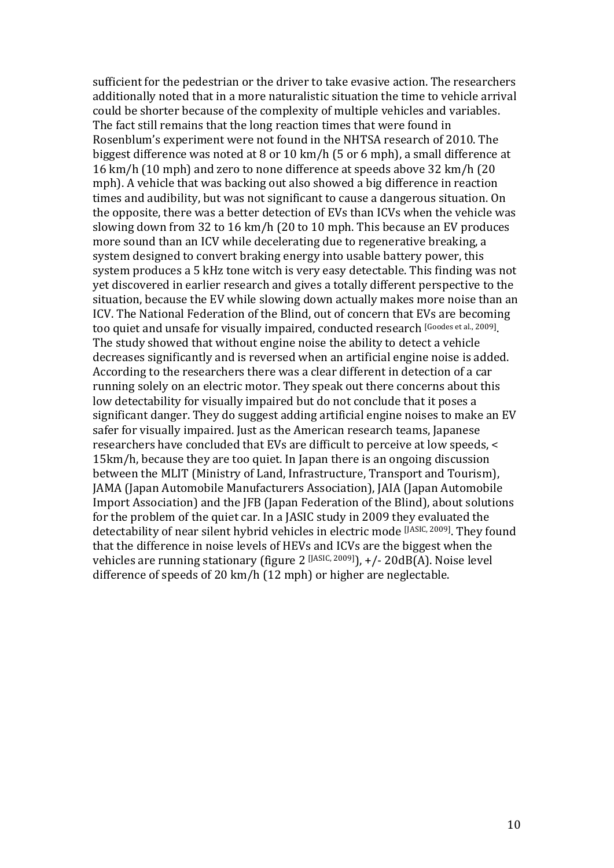sufficient for the pedestrian or the driver to take evasive action. The researchers additionally noted that in a more naturalistic situation the time to vehicle arrival could be shorter because of the complexity of multiple vehicles and variables. The fact still remains that the long reaction times that were found in Rosenblum's experiment were not found in the NHTSA research of 2010. The biggest difference was noted at 8 or 10 km/h (5 or 6 mph), a small difference at 16 km/h (10 mph) and zero to none difference at speeds above 32 km/h (20 mph). A vehicle that was backing out also showed a big difference in reaction times and audibility, but was not significant to cause a dangerous situation. On the opposite, there was a better detection of EVs than ICVs when the vehicle was slowing down from 32 to 16 km/h (20 to 10 mph. This because an EV produces more sound than an ICV while decelerating due to regenerative breaking, a system designed to convert braking energy into usable battery power, this system produces a 5 kHz tone witch is very easy detectable. This finding was not yet discovered in earlier research and gives a totally different perspective to the situation, because the EV while slowing down actually makes more noise than an ICV. The National Federation of the Blind, out of concern that EVs are becoming too quiet and unsafe for visually impaired, conducted research [Goodes et al., 2009]. The study showed that without engine noise the ability to detect a vehicle decreases significantly and is reversed when an artificial engine noise is added. According to the researchers there was a clear different in detection of a car running solely on an electric motor. They speak out there concerns about this low detectability for visually impaired but do not conclude that it poses a significant danger. They do suggest adding artificial engine noises to make an EV safer for visually impaired. Just as the American research teams, Japanese researchers have concluded that EVs are difficult to perceive at low speeds, < 15km/h, because they are too quiet. In Japan there is an ongoing discussion between the MLIT (Ministry of Land, Infrastructure, Transport and Tourism), JAMA (Japan Automobile Manufacturers Association), JAIA (Japan Automobile Import Association) and the IFB (Japan Federation of the Blind), about solutions for the problem of the quiet car. In a JASIC study in 2009 they evaluated the detectability of near silent hybrid vehicles in electric mode [JASIC, 2009]. They found that the difference in noise levels of HEVs and ICVs are the biggest when the vehicles are running stationary (figure 2  $[JASIC, 2009]$ ),  $+/$ - 20dB(A). Noise level difference of speeds of 20  $km/h$  (12 mph) or higher are neglectable.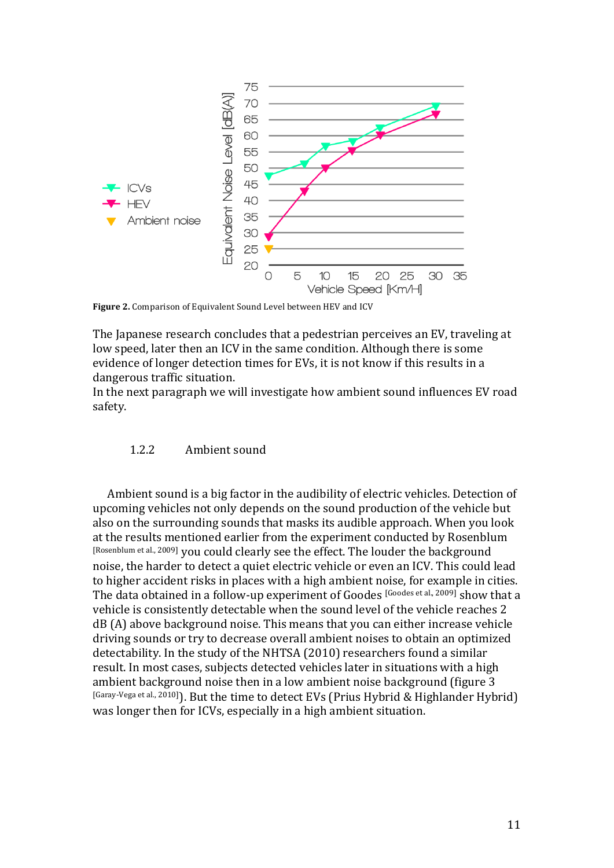

Figure 2. Comparison of Equivalent Sound Level between HEV and ICV

The Japanese research concludes that a pedestrian perceives an EV, traveling at low speed, later then an ICV in the same condition. Although there is some evidence of longer detection times for EVs, it is not know if this results in a dangerous traffic situation.

In the next paragraph we will investigate how ambient sound influences EV road safety.

#### 1.2.2 Ambient sound

Ambient sound is a big factor in the audibility of electric vehicles. Detection of upcoming vehicles not only depends on the sound production of the vehicle but also on the surrounding sounds that masks its audible approach. When you look at the results mentioned earlier from the experiment conducted by Rosenblum [Rosenblum et al., 2009] you could clearly see the effect. The louder the background noise, the harder to detect a quiet electric vehicle or even an ICV. This could lead to higher accident risks in places with a high ambient noise, for example in cities. The data obtained in a follow-up experiment of Goodes [Goodes et al., 2009] show that a vehicle is consistently detectable when the sound level of the vehicle reaches 2 dB (A) above background noise. This means that you can either increase vehicle driving sounds or try to decrease overall ambient noises to obtain an optimized detectability. In the study of the NHTSA (2010) researchers found a similar result. In most cases, subjects detected vehicles later in situations with a high ambient background noise then in a low ambient noise background (figure 3) [Garay-Vega et al., 2010]]. But the time to detect EVs (Prius Hybrid & Highlander Hybrid) was longer then for ICVs, especially in a high ambient situation.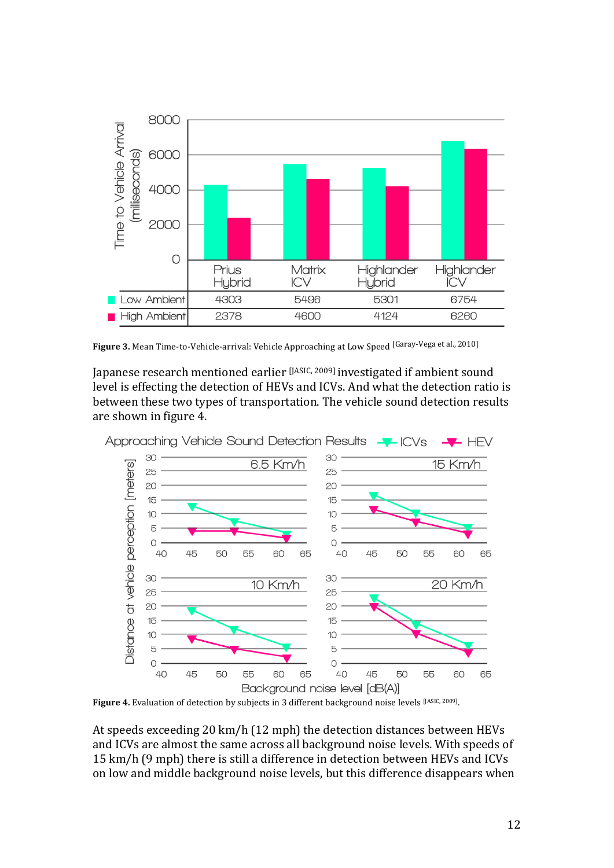

Figure 3. Mean Time-to-Vehicle-arrival: Vehicle Approaching at Low Speed [Garay-Vega et al., 2010]

Japanese research mentioned earlier [JASIC, 2009] investigated if ambient sound level is effecting the detection of HEVs and ICVs. And what the detection ratio is between these two types of transportation. The vehicle sound detection results are shown in figure 4.



Figure 4. Evaluation of detection by subjects in 3 different background noise levels [JASIC, 2009].

At speeds exceeding 20 km/h (12 mph) the detection distances between HEVs and ICVs are almost the same across all background noise levels. With speeds of 15 km/h (9 mph) there is still a difference in detection between HEVs and ICVs on low and middle background noise levels, but this difference disappears when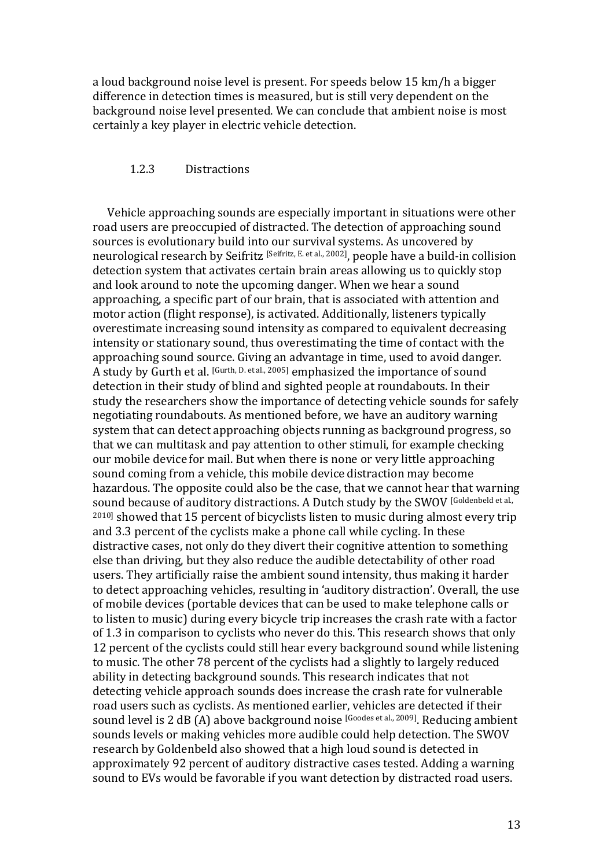a loud background noise level is present. For speeds below 15 km/h a bigger difference in detection times is measured, but is still very dependent on the background noise level presented. We can conclude that ambient noise is most certainly a key player in electric vehicle detection.

#### 1.2.3 Distractions

Vehicle approaching sounds are especially important in situations were other road users are preoccupied of distracted. The detection of approaching sound sources is evolutionary build into our survival systems. As uncovered by neurological research by Seifritz [Seifritz, E. et al., 2002], people have a build-in collision detection system that activates certain brain areas allowing us to quickly stop and look around to note the upcoming danger. When we hear a sound approaching, a specific part of our brain, that is associated with attention and motor action (flight response), is activated. Additionally, listeners typically overestimate increasing sound intensity as compared to equivalent decreasing intensity or stationary sound, thus overestimating the time of contact with the approaching sound source. Giving an advantage in time, used to avoid danger. A study by Gurth et al. [Gurth, D. et al., 2005] emphasized the importance of sound detection in their study of blind and sighted people at roundabouts. In their study the researchers show the importance of detecting vehicle sounds for safely negotiating roundabouts. As mentioned before, we have an auditory warning system that can detect approaching objects running as background progress, so that we can multitask and pay attention to other stimuli, for example checking our mobile device for mail. But when there is none or very little approaching sound coming from a vehicle, this mobile device distraction may become hazardous. The opposite could also be the case, that we cannot hear that warning sound because of auditory distractions. A Dutch study by the SWOV [Goldenbeld et al.,  $2010$ ] showed that 15 percent of bicyclists listen to music during almost every trip and 3.3 percent of the cyclists make a phone call while cycling. In these distractive cases, not only do they divert their cognitive attention to something else than driving, but they also reduce the audible detectability of other road users. They artificially raise the ambient sound intensity, thus making it harder to detect approaching vehicles, resulting in 'auditory distraction'. Overall, the use of mobile devices (portable devices that can be used to make telephone calls or to listen to music) during every bicycle trip increases the crash rate with a factor of 1.3 in comparison to cyclists who never do this. This research shows that only 12 percent of the cyclists could still hear every background sound while listening to music. The other 78 percent of the cyclists had a slightly to largely reduced ability in detecting background sounds. This research indicates that not detecting vehicle approach sounds does increase the crash rate for vulnerable road users such as cyclists. As mentioned earlier, vehicles are detected if their sound level is 2 dB (A) above background noise [Goodes et al., 2009]. Reducing ambient sounds levels or making vehicles more audible could help detection. The SWOV research by Goldenbeld also showed that a high loud sound is detected in approximately 92 percent of auditory distractive cases tested. Adding a warning sound to EVs would be favorable if you want detection by distracted road users.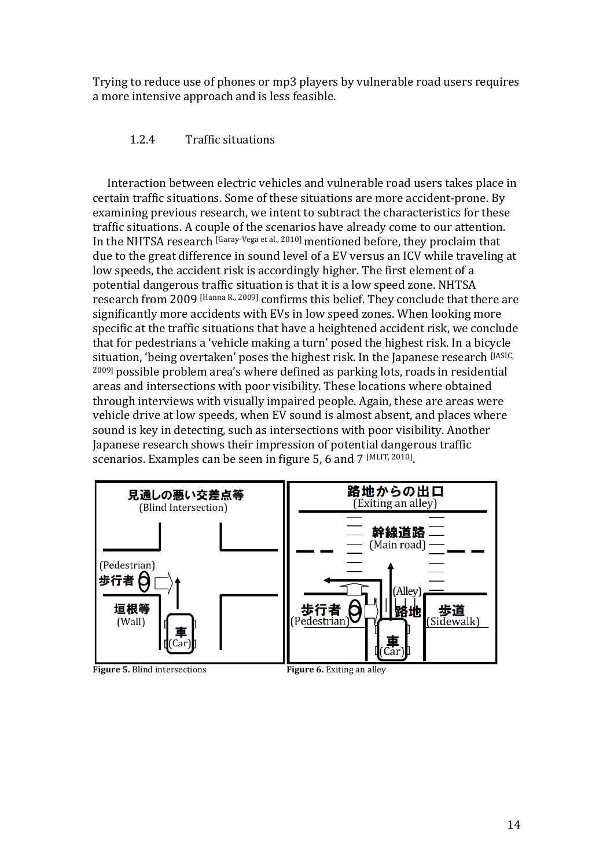Trying to reduce use of phones or mp3 players by vulnerable road users requires a more intensive approach and is less feasible.

#### 1.2.4 Traffic situations

Interaction between electric vehicles and vulnerable road users takes place in certain traffic situations. Some of these situations are more accident-prone. By examining previous research, we intent to subtract the characteristics for these traffic situations. A couple of the scenarios have already come to our attention. In the NHTSA research [Garay-Vega et al., 2010] mentioned before, they proclaim that due to the great difference in sound level of a EV versus an ICV while traveling at low speeds, the accident risk is accordingly higher. The first element of a potential dangerous traffic situation is that it is a low speed zone. NHTSA research from 2009 [Hanna R., 2009] confirms this belief. They conclude that there are significantly more accidents with EVs in low speed zones. When looking more specific at the traffic situations that have a heightened accident risk, we conclude that for pedestrians a 'vehicle making a turn' posed the highest risk. In a bicycle situation, 'being overtaken' poses the highest risk. In the Japanese research [JASIC,  $2009$ ] possible problem area's where defined as parking lots, roads in residential areas and intersections with poor visibility. These locations where obtained through interviews with visually impaired people. Again, these are areas were vehicle drive at low speeds, when EV sound is almost absent, and places where sound is key in detecting, such as intersections with poor visibility. Another Japanese research shows their impression of potential dangerous traffic scenarios. Examples can be seen in figure 5, 6 and 7 [MLIT, 2010].

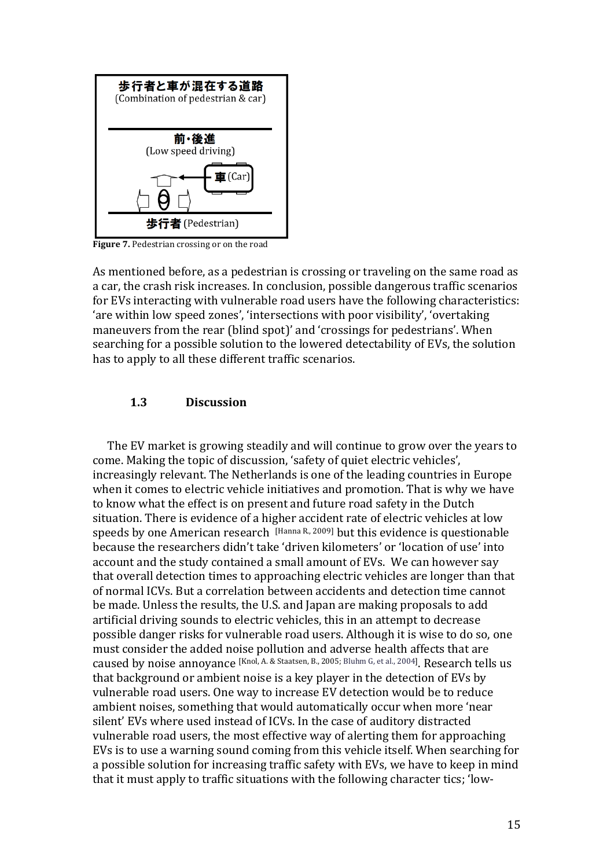

**Figure 7.** Pedestrian crossing or on the road

As mentioned before, as a pedestrian is crossing or traveling on the same road as a car, the crash risk increases. In conclusion, possible dangerous traffic scenarios for EVs interacting with vulnerable road users have the following characteristics: 'are within low speed zones', 'intersections with poor visibility', 'overtaking maneuvers from the rear (blind spot)' and 'crossings for pedestrians'. When searching for a possible solution to the lowered detectability of EVs, the solution has to apply to all these different traffic scenarios.

#### **1.3 Discussion**

The EV market is growing steadily and will continue to grow over the years to come. Making the topic of discussion, 'safety of quiet electric vehicles', increasingly relevant. The Netherlands is one of the leading countries in Europe when it comes to electric vehicle initiatives and promotion. That is why we have to know what the effect is on present and future road safety in the Dutch situation. There is evidence of a higher accident rate of electric vehicles at low speeds by one American research [Hanna R., 2009] but this evidence is questionable because the researchers didn't take 'driven kilometers' or 'location of use' into account and the study contained a small amount of EVs. We can however say that overall detection times to approaching electric vehicles are longer than that of normal ICVs. But a correlation between accidents and detection time cannot be made. Unless the results, the U.S. and Japan are making proposals to add artificial driving sounds to electric vehicles, this in an attempt to decrease possible danger risks for vulnerable road users. Although it is wise to do so, one must consider the added noise pollution and adverse health affects that are caused by noise annoyance [Knol, A. & Staatsen, B., 2005; Bluhm G, et al., 2004]. Research tells us that background or ambient noise is a key player in the detection of EVs by vulnerable road users. One way to increase EV detection would be to reduce ambient noises, something that would automatically occur when more 'near silent' EVs where used instead of ICVs. In the case of auditory distracted vulnerable road users, the most effective way of alerting them for approaching EVs is to use a warning sound coming from this vehicle itself. When searching for a possible solution for increasing traffic safety with EVs, we have to keep in mind that it must apply to traffic situations with the following character tics; 'low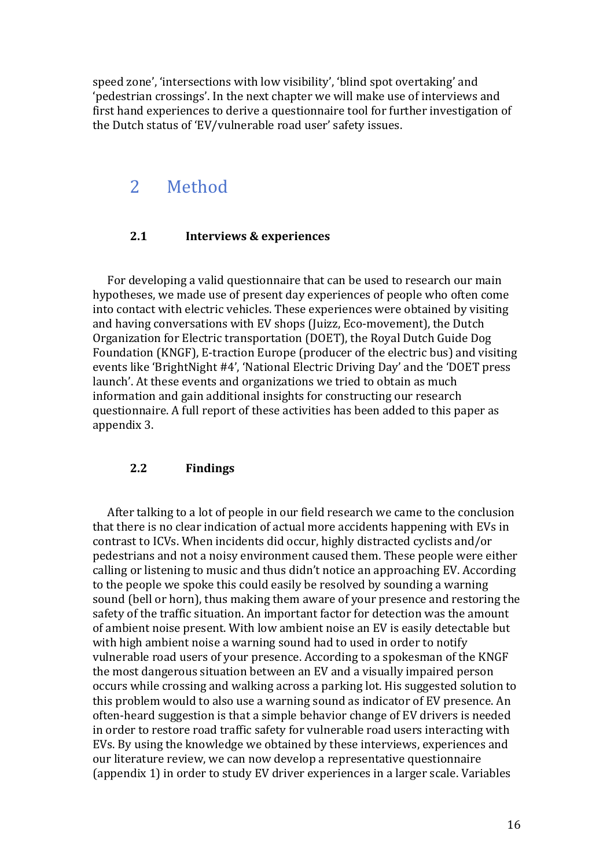speed zone', 'intersections with low visibility', 'blind spot overtaking' and 'pedestrian crossings'. In the next chapter we will make use of interviews and first hand experiences to derive a questionnaire tool for further investigation of the Dutch status of 'EV/vulnerable road user' safety issues.

## 2 Method

#### **2.1 Interviews & experiences**

For developing a valid questionnaire that can be used to research our main hypotheses, we made use of present day experiences of people who often come into contact with electric vehicles. These experiences were obtained by visiting and having conversations with EV shops (Juizz, Eco-movement), the Dutch Organization for Electric transportation (DOET), the Royal Dutch Guide Dog Foundation (KNGF), E-traction Europe (producer of the electric bus) and visiting events like 'BrightNight #4', 'National Electric Driving Day' and the 'DOET press launch'. At these events and organizations we tried to obtain as much information and gain additional insights for constructing our research questionnaire. A full report of these activities has been added to this paper as appendix 3.

#### **2.2 Findings**

After talking to a lot of people in our field research we came to the conclusion that there is no clear indication of actual more accidents happening with EVs in contrast to ICVs. When incidents did occur, highly distracted cyclists and/or pedestrians and not a noisy environment caused them. These people were either calling or listening to music and thus didn't notice an approaching EV. According to the people we spoke this could easily be resolved by sounding a warning sound (bell or horn), thus making them aware of your presence and restoring the safety of the traffic situation. An important factor for detection was the amount of ambient noise present. With low ambient noise an EV is easily detectable but with high ambient noise a warning sound had to used in order to notify vulnerable road users of your presence. According to a spokesman of the KNGF the most dangerous situation between an EV and a visually impaired person occurs while crossing and walking across a parking lot. His suggested solution to this problem would to also use a warning sound as indicator of EV presence. An often-heard suggestion is that a simple behavior change of EV drivers is needed in order to restore road traffic safety for vulnerable road users interacting with EVs. By using the knowledge we obtained by these interviews, experiences and our literature review, we can now develop a representative questionnaire (appendix 1) in order to study EV driver experiences in a larger scale. Variables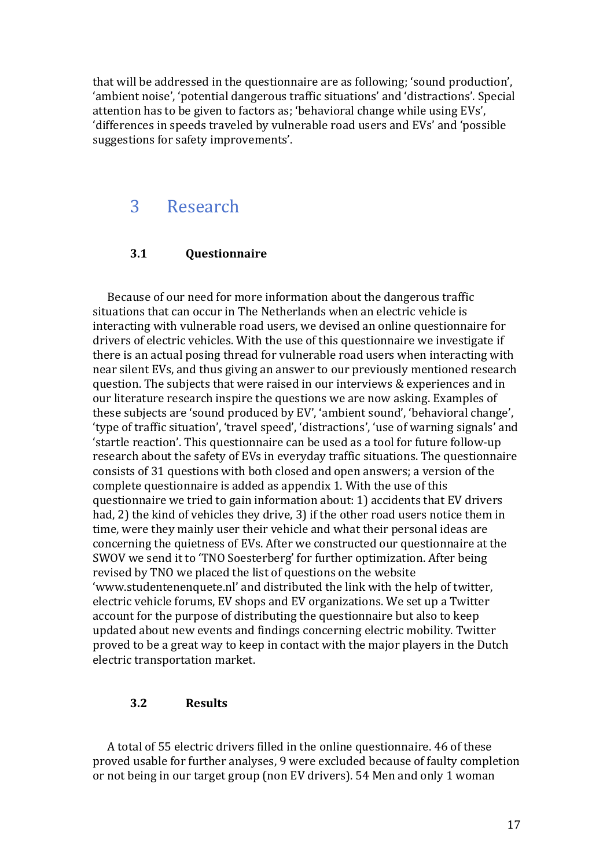that will be addressed in the questionnaire are as following; 'sound production', 'ambient noise', 'potential dangerous traffic situations' and 'distractions'. Special attention has to be given to factors as; 'behavioral change while using EVs', 'differences in speeds traveled by vulnerable road users and EVs' and 'possible suggestions for safety improvements'.

## 3 Research!

#### **3.1 Questionnaire**

Because of our need for more information about the dangerous traffic situations that can occur in The Netherlands when an electric vehicle is interacting with vulnerable road users, we devised an online questionnaire for drivers of electric vehicles. With the use of this questionnaire we investigate if there is an actual posing thread for vulnerable road users when interacting with near silent EVs, and thus giving an answer to our previously mentioned research question. The subjects that were raised in our interviews & experiences and in our literature research inspire the questions we are now asking. Examples of these subjects are 'sound produced by EV', 'ambient sound', 'behavioral change', 'type of traffic situation', 'travel speed', 'distractions', 'use of warning signals' and 'startle reaction'. This questionnaire can be used as a tool for future follow-up research about the safety of EVs in everyday traffic situations. The questionnaire consists of 31 questions with both closed and open answers; a version of the complete questionnaire is added as appendix 1. With the use of this questionnaire we tried to gain information about: 1) accidents that EV drivers had, 2) the kind of vehicles they drive, 3) if the other road users notice them in time, were they mainly user their vehicle and what their personal ideas are concerning the quietness of EVs. After we constructed our questionnaire at the SWOV we send it to 'TNO Soesterberg' for further optimization. After being revised by TNO we placed the list of questions on the website 'www.studentenenquete.nl' and distributed the link with the help of twitter, electric vehicle forums, EV shops and EV organizations. We set up a Twitter account for the purpose of distributing the questionnaire but also to keep updated about new events and findings concerning electric mobility. Twitter proved to be a great way to keep in contact with the major players in the Dutch electric transportation market.

#### **3.2 Results**

A total of 55 electric drivers filled in the online questionnaire. 46 of these proved usable for further analyses, 9 were excluded because of faulty completion or not being in our target group (non EV drivers). 54 Men and only 1 woman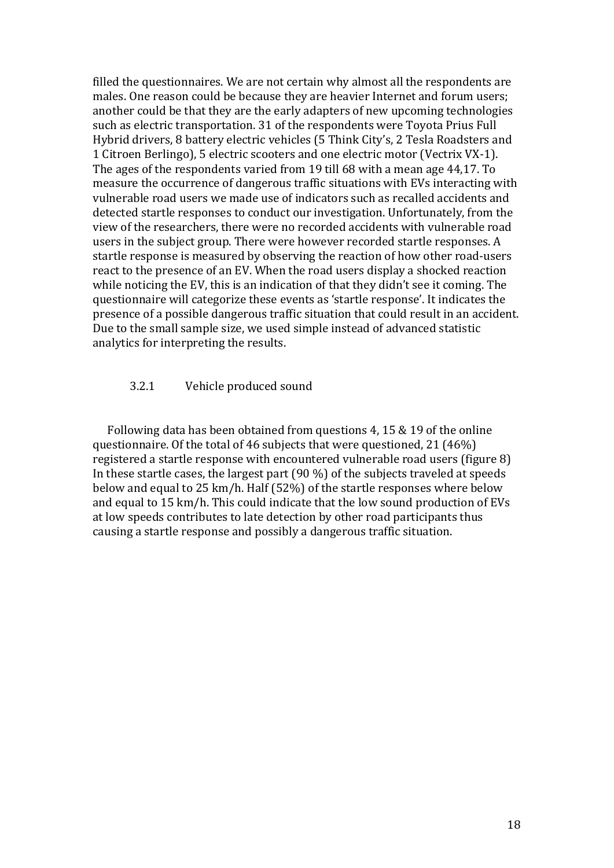filled the questionnaires. We are not certain why almost all the respondents are males. One reason could be because they are heavier Internet and forum users; another could be that they are the early adapters of new upcoming technologies such as electric transportation. 31 of the respondents were Toyota Prius Full Hybrid drivers, 8 battery electric vehicles (5 Think City's, 2 Tesla Roadsters and 1 Citroen Berlingo), 5 electric scooters and one electric motor (Vectrix VX-1). The ages of the respondents varied from 19 till 68 with a mean age 44,17. To measure the occurrence of dangerous traffic situations with EVs interacting with vulnerable road users we made use of indicators such as recalled accidents and detected startle responses to conduct our investigation. Unfortunately, from the view of the researchers, there were no recorded accidents with vulnerable road users in the subject group. There were however recorded startle responses. A startle response is measured by observing the reaction of how other road-users react to the presence of an EV. When the road users display a shocked reaction while noticing the EV, this is an indication of that they didn't see it coming. The questionnaire will categorize these events as 'startle response'. It indicates the presence of a possible dangerous traffic situation that could result in an accident. Due to the small sample size, we used simple instead of advanced statistic analytics for interpreting the results.

#### 3.2.1 Vehicle produced sound

Following data has been obtained from questions 4, 15  $&$  19 of the online questionnaire. Of the total of 46 subjects that were questioned, 21 (46%) registered a startle response with encountered vulnerable road users (figure 8) In these startle cases, the largest part  $(90\%)$  of the subjects traveled at speeds below and equal to 25 km/h. Half (52%) of the startle responses where below and equal to 15 km/h. This could indicate that the low sound production of EVs at low speeds contributes to late detection by other road participants thus causing a startle response and possibly a dangerous traffic situation.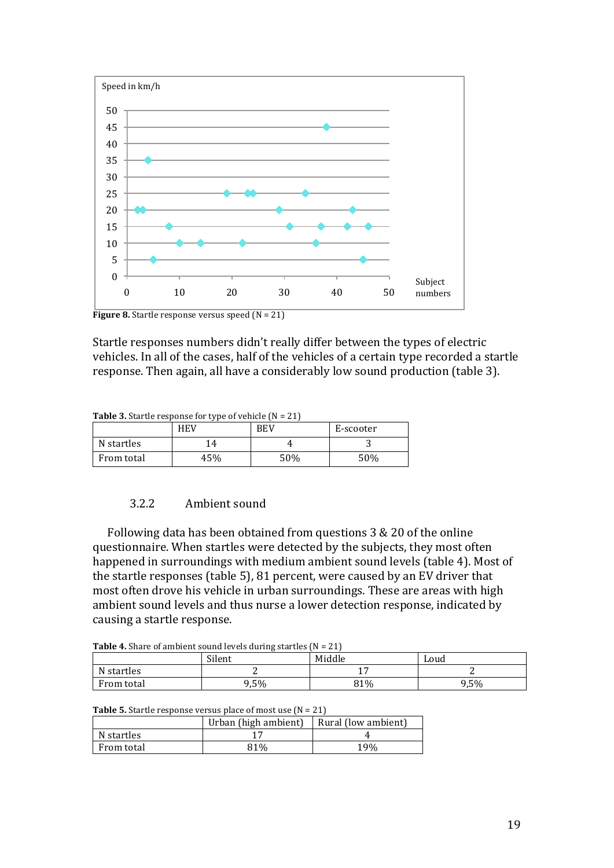

**Figure 8.** Startle response versus speed  $(N = 21)$ 

Startle responses numbers didn't really differ between the types of electric vehicles. In all of the cases, half of the vehicles of a certain type recorded a startle response. Then again, all have a considerably low sound production (table 3).

**Table 3.** Startle response for type of vehicle  $(N = 21)$ 

|            | <b>HEV</b> | BEV | E-scooter |
|------------|------------|-----|-----------|
| N startles | 14         |     |           |
| From total | 45%        | 50% | 50%       |

#### 3.2.2 Ambient sound

Following data has been obtained from questions  $3 & 20$  of the online questionnaire. When startles were detected by the subjects, they most often happened in surroundings with medium ambient sound levels (table 4). Most of the startle responses (table 5), 81 percent, were caused by an EV driver that most often drove his vehicle in urban surroundings. These are areas with high ambient sound levels and thus nurse a lower detection response, indicated by causing a startle response.

**Table 4.** Share of ambient sound levels during startles  $(N = 21)$ 

|            | <b>Table 1:</b> Share of amplent sound levels during started $\mu_1 = 21$<br>Silent | Middle | Loud |
|------------|-------------------------------------------------------------------------------------|--------|------|
| N startles |                                                                                     |        |      |
| From total | ),5%                                                                                | 81%    | 9,5% |

| <b>Table 5.</b> Startle response versus place of most use $(N = 21)$ |  |  |
|----------------------------------------------------------------------|--|--|
|                                                                      |  |  |

|            | Urban (high ambient) | Rural (low ambient) |
|------------|----------------------|---------------------|
| N startles |                      |                     |
| From total | 81%                  | 19%                 |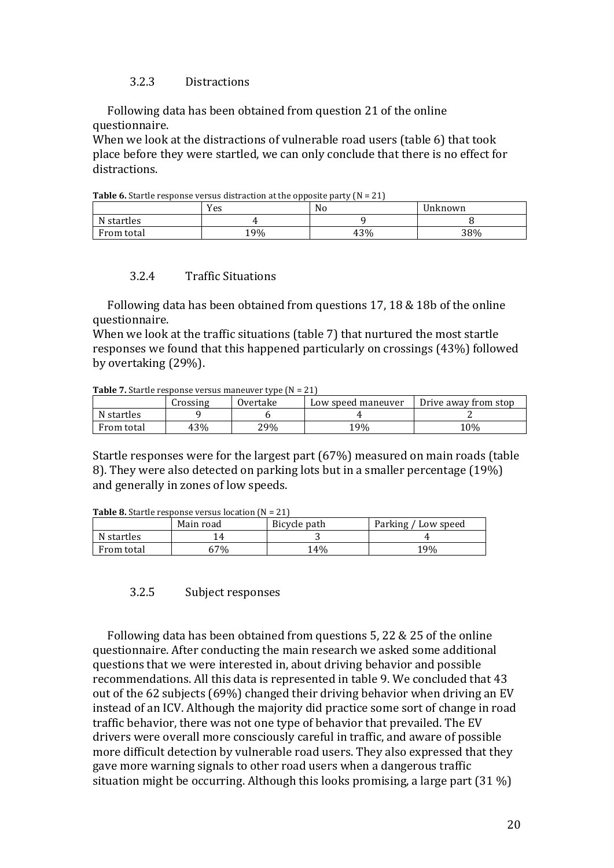#### 3.2.3 Distractions

Following data has been obtained from question 21 of the online questionnaire.

When we look at the distractions of vulnerable road users (table 6) that took place before they were startled, we can only conclude that there is no effect for distractions.

**Table 6.** Startle response versus distraction at the opposite party  $(N = 21)$ 

|                | Yes | No  | Jnknown |
|----------------|-----|-----|---------|
| Ν.<br>startles |     |     |         |
| From total     | 19% | 43% | 38%     |

#### 3.2.4 Traffic Situations

Following data has been obtained from questions 17, 18  $&$  18b of the online questionnaire.

When we look at the traffic situations (table 7) that nurtured the most startle responses we found that this happened particularly on crossings (43%) followed by overtaking (29%).

**Table 7.** Startle response versus maneuver type  $(N = 21)$ 

|            | Crossing | Overtake | Low speed maneuver | Drive away from stop |
|------------|----------|----------|--------------------|----------------------|
| N startles |          |          |                    |                      |
| From total | 43%      | 29%      | 19%                | 10%                  |

Startle responses were for the largest part (67%) measured on main roads (table 8). They were also detected on parking lots but in a smaller percentage (19%). and generally in zones of low speeds.

| <b>Table o.</b> Startle response versus location $\mathbf{N} = 2\mathbf{I}$ |           |              |                     |  |  |  |  |
|-----------------------------------------------------------------------------|-----------|--------------|---------------------|--|--|--|--|
|                                                                             | Main road | Bicycle path | Parking / Low speed |  |  |  |  |
| N startles                                                                  |           |              |                     |  |  |  |  |
| From total                                                                  | 57%       | $14\%$       | 19%                 |  |  |  |  |

**Table 8.** Startle response versus location (N = 21)

#### 3.2.5 Subject responses

Following data has been obtained from questions  $5$ , 22 & 25 of the online questionnaire. After conducting the main research we asked some additional questions that we were interested in, about driving behavior and possible recommendations. All this data is represented in table 9. We concluded that 43 out of the 62 subjects (69%) changed their driving behavior when driving an EV instead of an ICV. Although the majority did practice some sort of change in road traffic behavior, there was not one type of behavior that prevailed. The EV drivers were overall more consciously careful in traffic, and aware of possible more difficult detection by vulnerable road users. They also expressed that they gave more warning signals to other road users when a dangerous traffic situation might be occurring. Although this looks promising, a large part (31 %)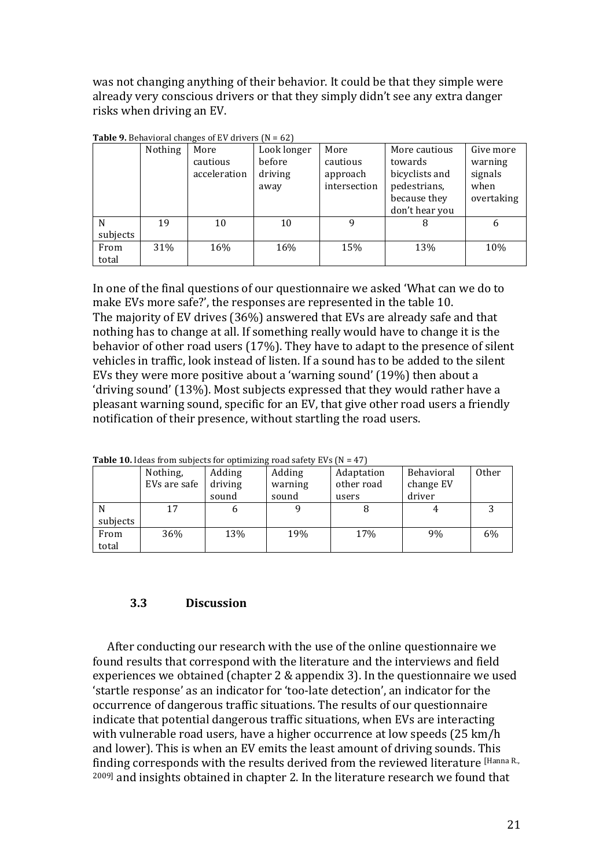was not changing anything of their behavior. It could be that they simple were already very conscious drivers or that they simply didn't see any extra danger risks when driving an EV.

|               | Nothing | More<br>cautious | Look longer<br>before | More<br>cautious         | More cautious<br>towards       | Give more<br>warning |
|---------------|---------|------------------|-----------------------|--------------------------|--------------------------------|----------------------|
|               |         | acceleration     | driving<br>away       | approach<br>intersection | bicyclists and<br>pedestrians, | signals<br>when      |
|               |         |                  |                       |                          | because they<br>don't hear you | overtaking           |
| N             | 19      | 10               | 10                    | 9                        | 8                              | 6                    |
| subjects      |         |                  |                       |                          |                                |                      |
| From<br>total | 31%     | 16%              | 16%                   | 15%                      | 13%                            | 10%                  |

**Table 9.** Behavioral changes of EV drivers  $(N = 62)$ 

In one of the final questions of our questionnaire we asked 'What can we do to make EVs more safe?', the responses are represented in the table 10. The majority of EV drives (36%) answered that EVs are already safe and that nothing has to change at all. If something really would have to change it is the behavior of other road users  $(17%)$ . They have to adapt to the presence of silent vehicles in traffic, look instead of listen. If a sound has to be added to the silent EVs they were more positive about a 'warning sound' (19%) then about a 'driving sound' (13%). Most subjects expressed that they would rather have a pleasant warning sound, specific for an EV, that give other road users a friendly notification of their presence, without startling the road users.

**Table 10.** Ideas from subjects for optimizing road safety EVs ( $N = 47$ )

|          | Nothing,     | Adding  | Adding  | Adaptation | Behavioral | Other |
|----------|--------------|---------|---------|------------|------------|-------|
|          | EVs are safe | driving | warning | other road | change EV  |       |
|          |              | sound   | sound   | users      | driver     |       |
|          | 17           |         |         |            |            |       |
| subjects |              |         |         |            |            |       |
| From     | 36%          | 13%     | 19%     | 17%        | 9%         | 6%    |
| total    |              |         |         |            |            |       |

#### **3.3 Discussion**

After conducting our research with the use of the online questionnaire we found results that correspond with the literature and the interviews and field experiences we obtained (chapter 2  $&$  appendix 3). In the questionnaire we used 'startle response' as an indicator for 'too-late detection', an indicator for the occurrence of dangerous traffic situations. The results of our questionnaire indicate that potential dangerous traffic situations, when EVs are interacting with vulnerable road users, have a higher occurrence at low speeds (25 km/h and lower). This is when an EV emits the least amount of driving sounds. This finding corresponds with the results derived from the reviewed literature [Hanna R.,  $2009$ ] and insights obtained in chapter 2. In the literature research we found that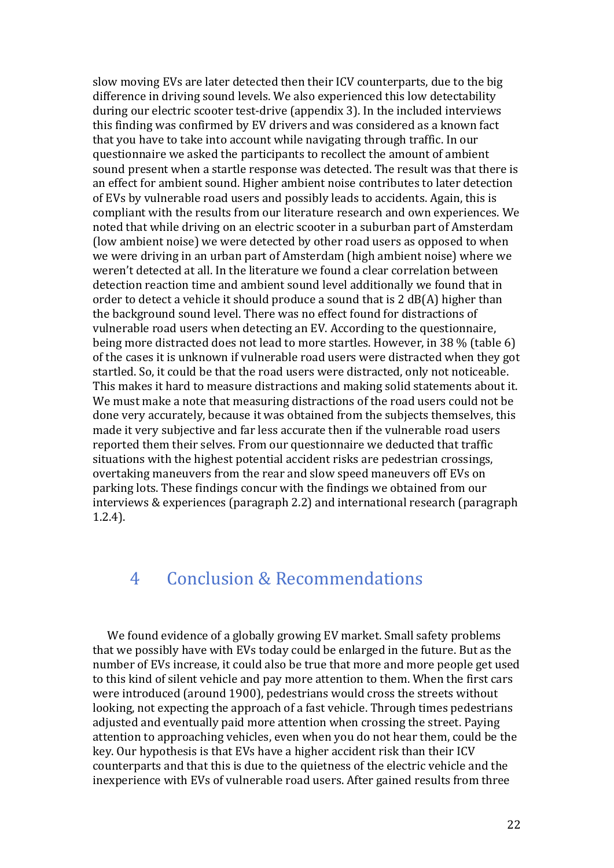slow moving EVs are later detected then their ICV counterparts, due to the big difference in driving sound levels. We also experienced this low detectability during our electric scooter test-drive (appendix 3). In the included interviews this finding was confirmed by EV drivers and was considered as a known fact that you have to take into account while navigating through traffic. In our questionnaire we asked the participants to recollect the amount of ambient sound present when a startle response was detected. The result was that there is an effect for ambient sound. Higher ambient noise contributes to later detection of EVs by vulnerable road users and possibly leads to accidents. Again, this is compliant with the results from our literature research and own experiences. We noted that while driving on an electric scooter in a suburban part of Amsterdam (low ambient noise) we were detected by other road users as opposed to when we were driving in an urban part of Amsterdam (high ambient noise) where we weren't detected at all. In the literature we found a clear correlation between detection reaction time and ambient sound level additionally we found that in order to detect a vehicle it should produce a sound that is  $2$  dB(A) higher than the background sound level. There was no effect found for distractions of vulnerable road users when detecting an EV. According to the questionnaire, being more distracted does not lead to more startles. However, in 38 % (table 6) of the cases it is unknown if vulnerable road users were distracted when they got startled. So, it could be that the road users were distracted, only not noticeable. This makes it hard to measure distractions and making solid statements about it. We must make a note that measuring distractions of the road users could not be done very accurately, because it was obtained from the subjects themselves, this made it very subjective and far less accurate then if the vulnerable road users reported them their selves. From our questionnaire we deducted that traffic situations with the highest potential accident risks are pedestrian crossings, overtaking maneuvers from the rear and slow speed maneuvers off EVs on parking lots. These findings concur with the findings we obtained from our interviews & experiences (paragraph 2.2) and international research (paragraph  $1.2.4$ ).

## 4 Conclusion & Recommendations

We found evidence of a globally growing EV market. Small safety problems that we possibly have with EVs today could be enlarged in the future. But as the number of EVs increase, it could also be true that more and more people get used to this kind of silent vehicle and pay more attention to them. When the first cars were introduced (around 1900), pedestrians would cross the streets without looking, not expecting the approach of a fast vehicle. Through times pedestrians adjusted and eventually paid more attention when crossing the street. Paying attention to approaching vehicles, even when you do not hear them, could be the key. Our hypothesis is that EVs have a higher accident risk than their ICV counterparts and that this is due to the quietness of the electric vehicle and the inexperience with EVs of vulnerable road users. After gained results from three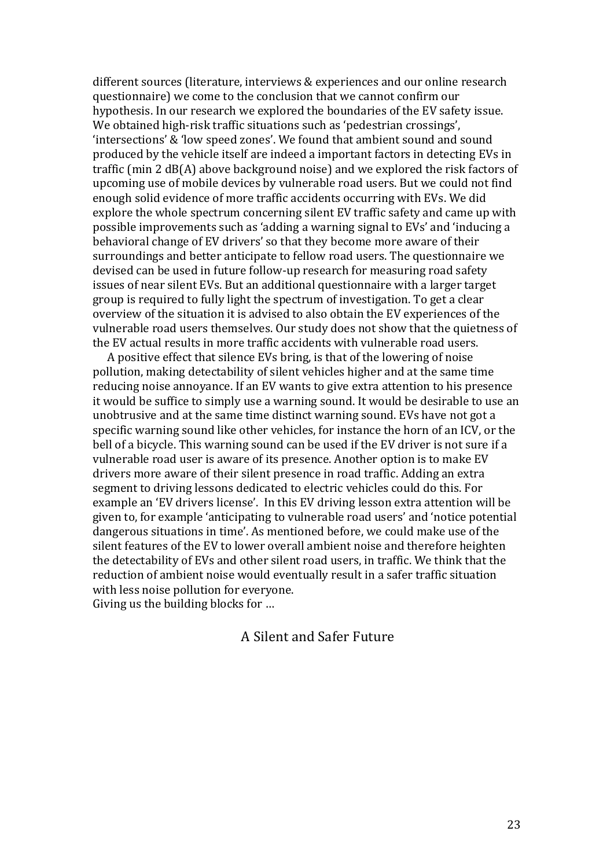different sources (literature, interviews & experiences and our online research questionnaire) we come to the conclusion that we cannot confirm our hypothesis. In our research we explored the boundaries of the EV safety issue. We obtained high-risk traffic situations such as 'pedestrian crossings', 'intersections' & 'low speed zones'. We found that ambient sound and sound produced by the vehicle itself are indeed a important factors in detecting EVs in traffic (min 2 dB(A) above background noise) and we explored the risk factors of upcoming use of mobile devices by vulnerable road users. But we could not find enough solid evidence of more traffic accidents occurring with EVs. We did explore the whole spectrum concerning silent EV traffic safety and came up with possible improvements such as 'adding a warning signal to EVs' and 'inducing a behavioral change of EV drivers' so that they become more aware of their surroundings and better anticipate to fellow road users. The questionnaire we devised can be used in future follow-up research for measuring road safety issues of near silent EVs. But an additional questionnaire with a larger target group is required to fully light the spectrum of investigation. To get a clear overview of the situation it is advised to also obtain the EV experiences of the vulnerable road users themselves. Our study does not show that the quietness of the EV actual results in more traffic accidents with vulnerable road users.

A positive effect that silence EVs bring, is that of the lowering of noise pollution, making detectability of silent vehicles higher and at the same time reducing noise annoyance. If an EV wants to give extra attention to his presence it would be suffice to simply use a warning sound. It would be desirable to use an unobtrusive and at the same time distinct warning sound. EVs have not got a specific warning sound like other vehicles, for instance the horn of an ICV, or the bell of a bicycle. This warning sound can be used if the EV driver is not sure if a vulnerable road user is aware of its presence. Another option is to make EV drivers more aware of their silent presence in road traffic. Adding an extra segment to driving lessons dedicated to electric vehicles could do this. For example an 'EV drivers license'. In this EV driving lesson extra attention will be given to, for example 'anticipating to vulnerable road users' and 'notice potential dangerous situations in time'. As mentioned before, we could make use of the silent features of the EV to lower overall ambient noise and therefore heighten the detectability of EVs and other silent road users, in traffic. We think that the reduction of ambient noise would eventually result in a safer traffic situation with less noise pollution for everyone.

Giving us the building blocks for …

#### A Silent and Safer Future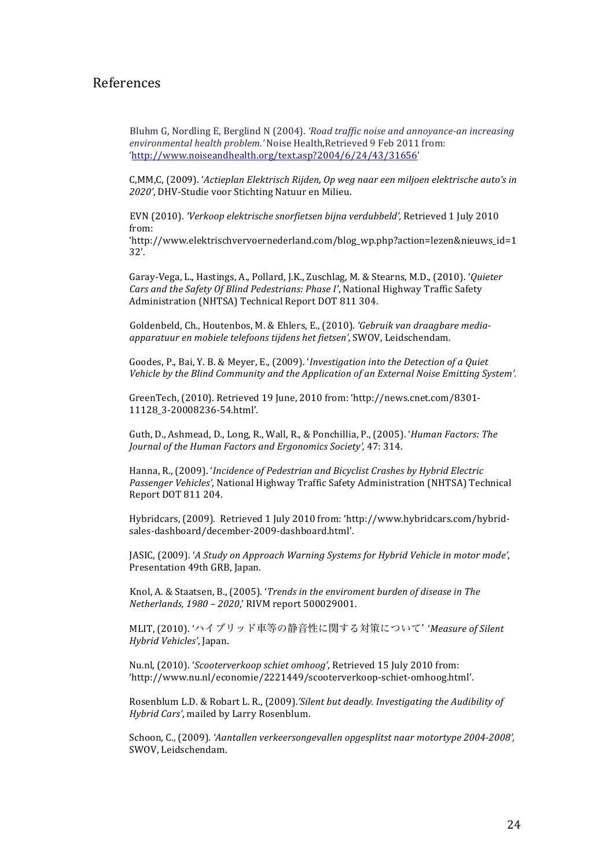#### References

Bluhm G, Nordling E, Berglind N (2004). 'Road traffic noise and annoyance-an increasing environmental health problem.' Noise Health,Retrieved 9 Feb 2011 from: 'http://www.noiseandhealth.org/text.asp?2004/6/24/43/31656'

C,MM,C, (2009). '*Actieplan Elektrisch Rijden, Op weg naar een miljoen elektrische auto's in* 2020', DHV-Studie voor Stichting Natuur en Milieu.

EVN (2010). 'Verkoop elektrische snorfietsen bijna verdubbeld', Retrieved 1 July 2010 from:!

'http://www.elektrischvervoernederland.com/blog\_wp.php?action=lezen&nieuws\_id=1 32'.

Garay-Vega, L., Hastings, A., Pollard, J.K., Zuschlag, M. & Stearns, M.D., (2010). '*Quieter Cars and the Safety Of Blind Pedestrians: Phase I'*, National Highway Traffic Safety Administration (NHTSA) Technical Report DOT 811 304.

Goldenbeld, Ch., Houtenbos, M. & Ehlers, E., (2010). 'Gebruik van draagbare media*apparatuur"en"mobiele"telefoons"tijdens"het"fietsen',"*SWOV,!Leidschendam.

Goodes, P., Bai, Y. B. & Meyer, E., (2009). '*Investigation into the Detection of a Quiet* Vehicle by the Blind Community and the Application of an External Noise Emitting System'.

GreenTech, (2010). Retrieved 19 June, 2010 from: 'http://news.cnet.com/8301-11128\_3-20008236-54.html'.

Guth, D., Ashmead, D., Long, R., Wall, R., & Ponchillia, P., (2005). '*Human Factors: The Journal of the Human Factors and Ergonomics Society', 47: 314.* 

Hanna, R., (2009). '*Incidence of Pedestrian and Bicyclist Crashes by Hybrid Electric* Passenger Vehicles', National Highway Traffic Safety Administration (NHTSA) Technical Report DOT 811 204.

Hybridcars, (2009). Retrieved 1 July 2010 from: 'http://www.hybridcars.com/hybridsales-dashboard/december-2009-dashboard.html'.

JASIC, (2009). '*A Study on Approach Warning Systems for Hybrid Vehicle in motor mode'*, Presentation 49th GRB, Japan.

Knol, A. & Staatsen, B., (2005). '*Trends in the enviroment burden of disease in The Netherlands, 1980 - 2020*,' RIVM report 500029001.

MLIT. (2010). 'ハイブリッド車等の静音性に関する対策について' 'Measure of Silent *Hybrid"Vehicles'*,!Japan.

Nu.nl, (2010). '*Scooterverkoop schiet omhoog'*, Retrieved 15 July 2010 from: 'http://www.nu.nl/economie/2221449/scooterverkoop-schiet-omhoog.html'.

Rosenblum L.D. & Robart L. R., (2009).*'Silent but deadly. Investigating the Audibility of Hybrid Cars'*, mailed by Larry Rosenblum.

Schoon, C., (2009). 'Aantallen verkeersongevallen opgesplitst naar motortype 2004-2008', SWOV, Leidschendam.